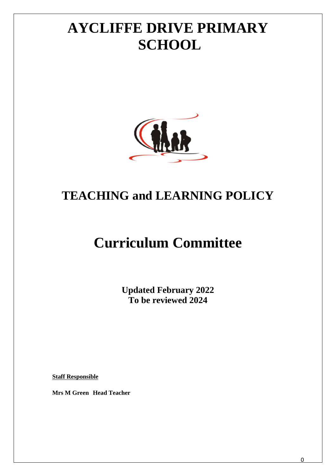# **AYCLIFFE DRIVE PRIMARY SCHOOL**



## **TEACHING and LEARNING POLICY**

## **Curriculum Committee**

**Updated February 2022 To be reviewed 2024**

**Staff Responsible**

**Mrs M Green Head Teacher**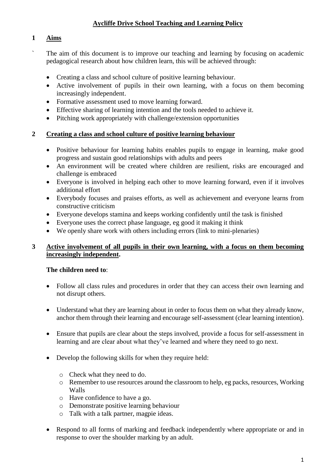## **Aycliffe Drive School Teaching and Learning Policy**

#### **1 Aims**

- The aim of this document is to improve our teaching and learning by focusing on academic pedagogical research about how children learn, this will be achieved through:
	- Creating a class and school culture of positive learning behaviour.
	- Active involvement of pupils in their own learning, with a focus on them becoming increasingly independent.
	- Formative assessment used to move learning forward.
	- Effective sharing of learning intention and the tools needed to achieve it.
	- Pitching work appropriately with challenge/extension opportunities

#### **2 Creating a class and school culture of positive learning behaviour**

- Positive behaviour for learning habits enables pupils to engage in learning, make good progress and sustain good relationships with adults and peers
- An environment will be created where children are resilient, risks are encouraged and challenge is embraced
- Everyone is involved in helping each other to move learning forward, even if it involves additional effort
- Everybody focuses and praises efforts, as well as achievement and everyone learns from constructive criticism
- Everyone develops stamina and keeps working confidently until the task is finished
- Everyone uses the correct phase language, eg good it making it think
- We openly share work with others including errors (link to mini-plenaries)

#### **3 Active involvement of all pupils in their own learning, with a focus on them becoming increasingly independent.**

#### **The children need to**:

- Follow all class rules and procedures in order that they can access their own learning and not disrupt others.
- Understand what they are learning about in order to focus them on what they already know, anchor them through their learning and encourage self-assessment (clear learning intention).
- Ensure that pupils are clear about the steps involved, provide a focus for self-assessment in learning and are clear about what they've learned and where they need to go next.
- Develop the following skills for when they require held:
	- o Check what they need to do.
	- o Remember to use resources around the classroom to help, eg packs, resources, Working Walls
	- o Have confidence to have a go.
	- o Demonstrate positive learning behaviour
	- o Talk with a talk partner, magpie ideas.
- Respond to all forms of marking and feedback independently where appropriate or and in response to over the shoulder marking by an adult.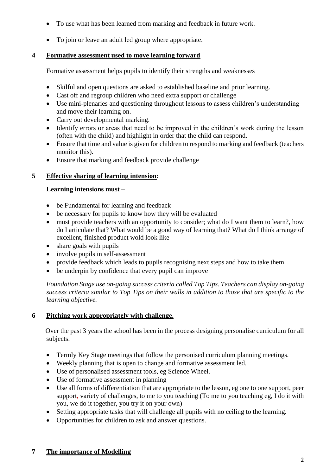- To use what has been learned from marking and feedback in future work.
- To join or leave an adult led group where appropriate.

## **4 Formative assessment used to move learning forward**

Formative assessment helps pupils to identify their strengths and weaknesses

- Skilful and open questions are asked to established baseline and prior learning.
- Cast off and regroup children who need extra support or challenge
- Use mini-plenaries and questioning throughout lessons to assess children's understanding and move their learning on.
- Carry out developmental marking.
- Identify errors or areas that need to be improved in the children's work during the lesson (often with the child) and highlight in order that the child can respond.
- Ensure that time and value is given for children to respond to marking and feedback (teachers monitor this).
- Ensure that marking and feedback provide challenge

## **5 Effective sharing of learning intension:**

## **Learning intensions must** –

- be Fundamental for learning and feedback
- be necessary for pupils to know how they will be evaluated
- must provide teachers with an opportunity to consider; what do I want them to learn?, how do I articulate that? What would be a good way of learning that? What do I think arrange of excellent, finished product wold look like
- share goals with pupils
- involve pupils in self-assessment
- provide feedback which leads to pupils recognising next steps and how to take them
- be underpin by confidence that every pupil can improve

*Foundation Stage use on-going success criteria called Top Tips. Teachers can display on-going success criteria similar to Top Tips on their walls in addition to those that are specific to the learning objective.* 

## **6 Pitching work appropriately with challenge.**

 Over the past 3 years the school has been in the process designing personalise curriculum for all subjects.

- Termly Key Stage meetings that follow the personised curriculum planning meetings.
- Weekly planning that is open to change and formative assessment led.
- Use of personalised assessment tools, eg Science Wheel.
- Use of formative assessment in planning
- Use all forms of differentiation that are appropriate to the lesson, eg one to one support, peer support, variety of challenges, to me to you teaching (To me to you teaching eg, I do it with you, we do it together, you try it on your own)
- Setting appropriate tasks that will challenge all pupils with no ceiling to the learning.
- Opportunities for children to ask and answer questions.

## **7 The importance of Modelling**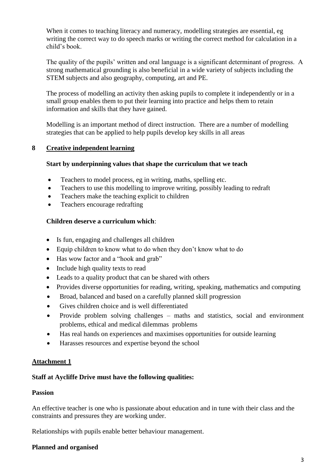When it comes to teaching literacy and numeracy, modelling strategies are essential, eg writing the correct way to do speech marks or writing the correct method for calculation in a child's book.

The quality of the pupils' written and oral language is a significant determinant of progress. A strong mathematical grounding is also beneficial in a wide variety of subjects including the STEM subjects and also geography, computing, art and PE.

The process of modelling an activity then asking pupils to complete it independently or in a small group enables them to put their learning into practice and helps them to retain information and skills that they have gained.

Modelling is an important method of direct instruction. There are a number of modelling strategies that can be applied to help pupils develop key skills in all areas

#### **8 Creative independent learning**

#### **Start by underpinning values that shape the curriculum that we teach**

- Teachers to model process, eg in writing, maths, spelling etc.
- Teachers to use this modelling to improve writing, possibly leading to redraft
- Teachers make the teaching explicit to children
- Teachers encourage redrafting

#### **Children deserve a curriculum which**:

- Is fun, engaging and challenges all children
- Equip children to know what to do when they don't know what to do
- Has wow factor and a "hook and grab"
- Include high quality texts to read
- Leads to a quality product that can be shared with others
- Provides diverse opportunities for reading, writing, speaking, mathematics and computing
- Broad, balanced and based on a carefully planned skill progression
- Gives children choice and is well differentiated
- Provide problem solving challenges maths and statistics, social and environment problems, ethical and medical dilemmas problems
- Has real hands on experiences and maximises opportunities for outside learning
- Harasses resources and expertise beyond the school

#### **Attachment 1**

#### **Staff at Aycliffe Drive must have the following qualities:**

#### **Passion**

An effective teacher is one who is passionate about education and in tune with their class and the constraints and pressures they are working under.

Relationships with pupils enable better behaviour management.

#### **Planned and organised**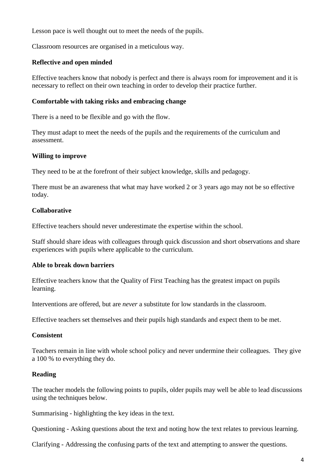Lesson pace is well thought out to meet the needs of the pupils.

Classroom resources are organised in a meticulous way.

#### **Reflective and open minded**

Effective teachers know that nobody is perfect and there is always room for improvement and it is necessary to reflect on their own teaching in order to develop their practice further.

#### **Comfortable with taking risks and embracing change**

There is a need to be flexible and go with the flow.

They must adapt to meet the needs of the pupils and the requirements of the curriculum and assessment.

#### **Willing to improve**

They need to be at the forefront of their subject knowledge, skills and pedagogy.

There must be an awareness that what may have worked 2 or 3 years ago may not be so effective today.

#### **Collaborative**

Effective teachers should never underestimate the expertise within the school.

Staff should share ideas with colleagues through quick discussion and short observations and share experiences with pupils where applicable to the curriculum.

#### **Able to break down barriers**

Effective teachers know that the Quality of First Teaching has the greatest impact on pupils learning.

Interventions are offered, but are *never* a substitute for low standards in the classroom.

Effective teachers set themselves and their pupils high standards and expect them to be met.

#### **Consistent**

Teachers remain in line with whole school policy and never undermine their colleagues. They give a 100 % to everything they do.

#### **Reading**

The teacher models the following points to pupils, older pupils may well be able to lead discussions using the techniques below.

Summarising - highlighting the key ideas in the text.

Questioning - Asking questions about the text and noting how the text relates to previous learning.

Clarifying - Addressing the confusing parts of the text and attempting to answer the questions.